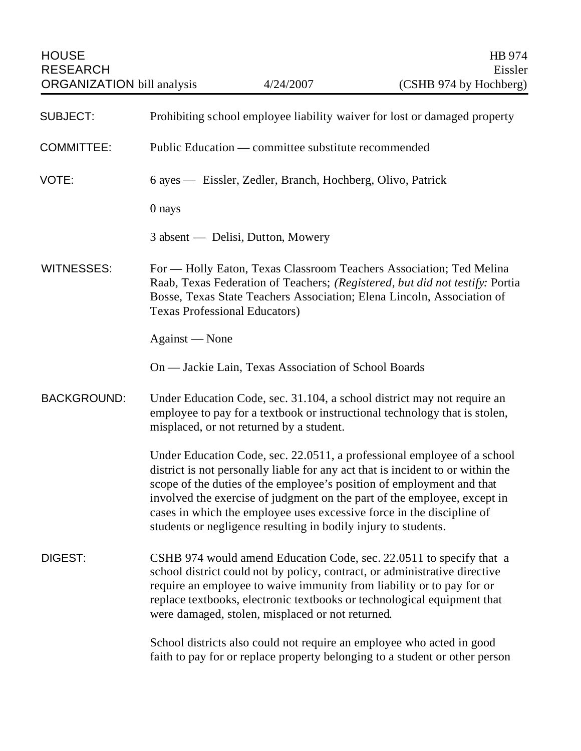HOUSE Extending the state of the state of the state of the state of the state of the state of the state of the state of the state of the state of the state of the state of the state of the state of the state of the state o ORGANIZATION bill analysis 4/24/2007

| <b>SUBJECT:</b>    | Prohibiting school employee liability waiver for lost or damaged property                                                                                                                                                                                                                                                                                                                                                                                  |
|--------------------|------------------------------------------------------------------------------------------------------------------------------------------------------------------------------------------------------------------------------------------------------------------------------------------------------------------------------------------------------------------------------------------------------------------------------------------------------------|
| <b>COMMITTEE:</b>  | Public Education — committee substitute recommended                                                                                                                                                                                                                                                                                                                                                                                                        |
| VOTE:              | 6 ayes — Eissler, Zedler, Branch, Hochberg, Olivo, Patrick                                                                                                                                                                                                                                                                                                                                                                                                 |
|                    | 0 nays                                                                                                                                                                                                                                                                                                                                                                                                                                                     |
|                    | 3 absent — Delisi, Dutton, Mowery                                                                                                                                                                                                                                                                                                                                                                                                                          |
| <b>WITNESSES:</b>  | For — Holly Eaton, Texas Classroom Teachers Association; Ted Melina<br>Raab, Texas Federation of Teachers; (Registered, but did not testify: Portia<br>Bosse, Texas State Teachers Association; Elena Lincoln, Association of<br><b>Texas Professional Educators)</b>                                                                                                                                                                                      |
|                    | Against — None                                                                                                                                                                                                                                                                                                                                                                                                                                             |
|                    | On — Jackie Lain, Texas Association of School Boards                                                                                                                                                                                                                                                                                                                                                                                                       |
| <b>BACKGROUND:</b> | Under Education Code, sec. 31.104, a school district may not require an<br>employee to pay for a textbook or instructional technology that is stolen,<br>misplaced, or not returned by a student.                                                                                                                                                                                                                                                          |
|                    | Under Education Code, sec. 22.0511, a professional employee of a school<br>district is not personally liable for any act that is incident to or within the<br>scope of the duties of the employee's position of employment and that<br>involved the exercise of judgment on the part of the employee, except in<br>cases in which the employee uses excessive force in the discipline of<br>students or negligence resulting in bodily injury to students. |
| DIGEST:            | CSHB 974 would amend Education Code, sec. 22.0511 to specify that a<br>school district could not by policy, contract, or administrative directive<br>require an employee to waive immunity from liability or to pay for or<br>replace textbooks, electronic textbooks or technological equipment that<br>were damaged, stolen, misplaced or not returned.                                                                                                  |
|                    | School districts also could not require an employee who acted in good<br>faith to pay for or replace property belonging to a student or other person                                                                                                                                                                                                                                                                                                       |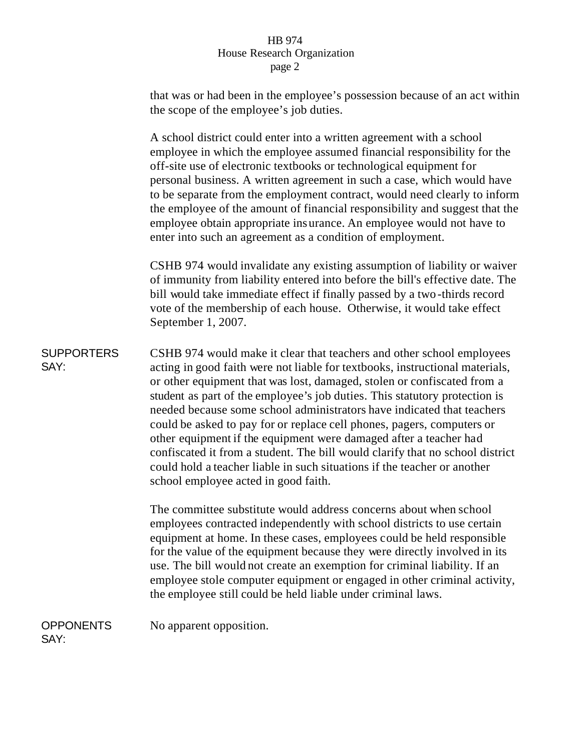## HB 974 House Research Organization page 2

that was or had been in the employee's possession because of an act within the scope of the employee's job duties.

A school district could enter into a written agreement with a school employee in which the employee assumed financial responsibility for the off-site use of electronic textbooks or technological equipment for personal business. A written agreement in such a case, which would have to be separate from the employment contract, would need clearly to inform the employee of the amount of financial responsibility and suggest that the employee obtain appropriate insurance. An employee would not have to enter into such an agreement as a condition of employment.

CSHB 974 would invalidate any existing assumption of liability or waiver of immunity from liability entered into before the bill's effective date. The bill would take immediate effect if finally passed by a two -thirds record vote of the membership of each house. Otherwise, it would take effect September 1, 2007.

SUPPORTERS SAY:

CSHB 974 would make it clear that teachers and other school employees acting in good faith were not liable for textbooks, instructional materials, or other equipment that was lost, damaged, stolen or confiscated from a student as part of the employee's job duties. This statutory protection is needed because some school administrators have indicated that teachers could be asked to pay for or replace cell phones, pagers, computers or other equipment if the equipment were damaged after a teacher had confiscated it from a student. The bill would clarify that no school district could hold a teacher liable in such situations if the teacher or another school employee acted in good faith.

The committee substitute would address concerns about when school employees contracted independently with school districts to use certain equipment at home. In these cases, employees could be held responsible for the value of the equipment because they were directly involved in its use. The bill would not create an exemption for criminal liability. If an employee stole computer equipment or engaged in other criminal activity, the employee still could be held liable under criminal laws.

**OPPONENTS** SAY: No apparent opposition.